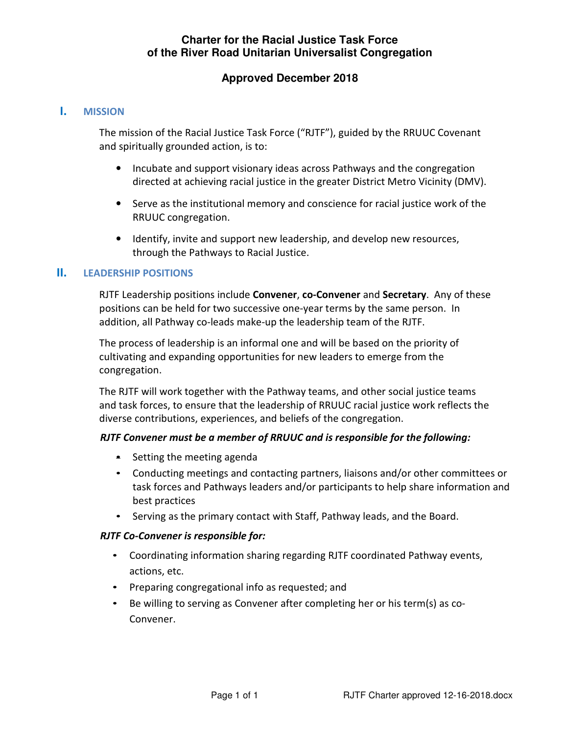## **Charter for the Racial Justice Task Force of the River Road Unitarian Universalist Congregation**

# **Approved December 2018**

### I. MISSION

The mission of the Racial Justice Task Force ("RJTF"), guided by the RRUUC Covenant and spiritually grounded action, is to:

- Incubate and support visionary ideas across Pathways and the congregation directed at achieving racial justice in the greater District Metro Vicinity (DMV).
- Serve as the institutional memory and conscience for racial justice work of the RRUUC congregation.
- Identify, invite and support new leadership, and develop new resources, through the Pathways to Racial Justice.

### II. LEADERSHIP POSITIONS

RJTF Leadership positions include Convener, co-Convener and Secretary. Any of these positions can be held for two successive one-year terms by the same person. In addition, all Pathway co-leads make-up the leadership team of the RJTF.

The process of leadership is an informal one and will be based on the priority of cultivating and expanding opportunities for new leaders to emerge from the congregation.

The RJTF will work together with the Pathway teams, and other social justice teams and task forces, to ensure that the leadership of RRUUC racial justice work reflects the diverse contributions, experiences, and beliefs of the congregation.

### RJTF Convener must be a member of RRUUC and is responsible for the following:

- Setting the meeting agenda
- Conducting meetings and contacting partners, liaisons and/or other committees or task forces and Pathways leaders and/or participants to help share information and best practices
- Serving as the primary contact with Staff, Pathway leads, and the Board.

#### RJTF Co-Convener is responsible for:

- Coordinating information sharing regarding RJTF coordinated Pathway events, actions, etc.
- Preparing congregational info as requested; and
- Be willing to serving as Convener after completing her or his term(s) as co-Convener.